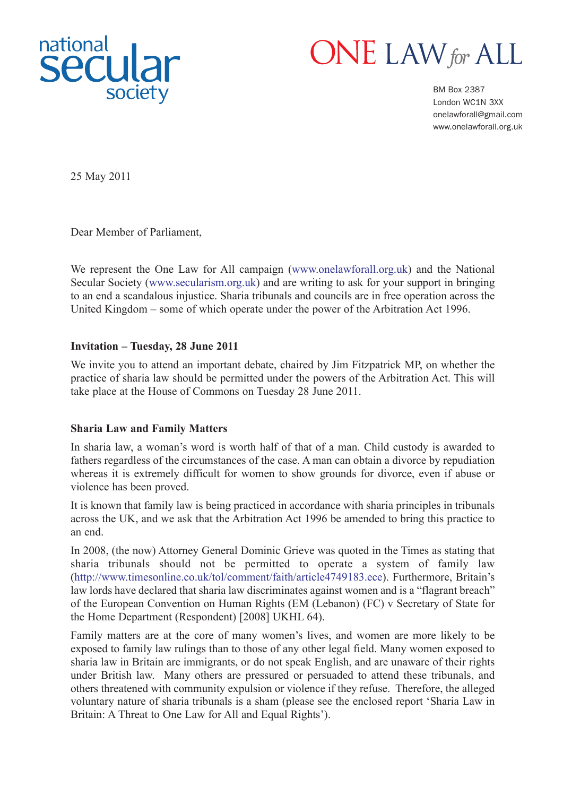



BM Box 2387 London WC1N 3XX onelawforall@gmail.com www.onelawforall.org.uk

25 May 2011

Dear Member of Parliament,

We represent the One Law for All campaign (www.onelawforall.org.uk) and the National Secular Society (www.secularism.org.uk) and are writing to ask for your support in bringing to an end a scandalous injustice. Sharia tribunals and councils are in free operation across the United Kingdom – some of which operate under the power of the Arbitration Act 1996.

## **Invitation – Tuesday, 28 June 2011**

We invite you to attend an important debate, chaired by Jim Fitzpatrick MP, on whether the practice of sharia law should be permitted under the powers of the Arbitration Act. This will take place at the House of Commons on Tuesday 28 June 2011.

## **Sharia Law and Family Matters**

In sharia law, a woman's word is worth half of that of a man. Child custody is awarded to fathers regardless of the circumstances of the case. A man can obtain a divorce by repudiation whereas it is extremely difficult for women to show grounds for divorce, even if abuse or violence has been proved.

It is known that family law is being practiced in accordance with sharia principles in tribunals across the UK, and we ask that the Arbitration Act 1996 be amended to bring this practice to an end.

In 2008, (the now) Attorney General Dominic Grieve was quoted in the Times as stating that sharia tribunals should not be permitted to operate a system of family law (http://www.timesonline.co.uk/tol/comment/faith/article4749183.ece). Furthermore, Britain's law lords have declared that sharia law discriminates against women and is a "flagrant breach" of the European Convention on Human Rights (EM (Lebanon) (FC) v Secretary of State for the Home Department (Respondent) [2008] UKHL 64).

Family matters are at the core of many women's lives, and women are more likely to be exposed to family law rulings than to those of any other legal field. Many women exposed to sharia law in Britain are immigrants, or do not speak English, and are unaware of their rights under British law. Many others are pressured or persuaded to attend these tribunals, and others threatened with community expulsion or violence if they refuse. Therefore, the alleged voluntary nature of sharia tribunals is a sham (please see the enclosed report 'Sharia Law in Britain: A Threat to One Law for All and Equal Rights').